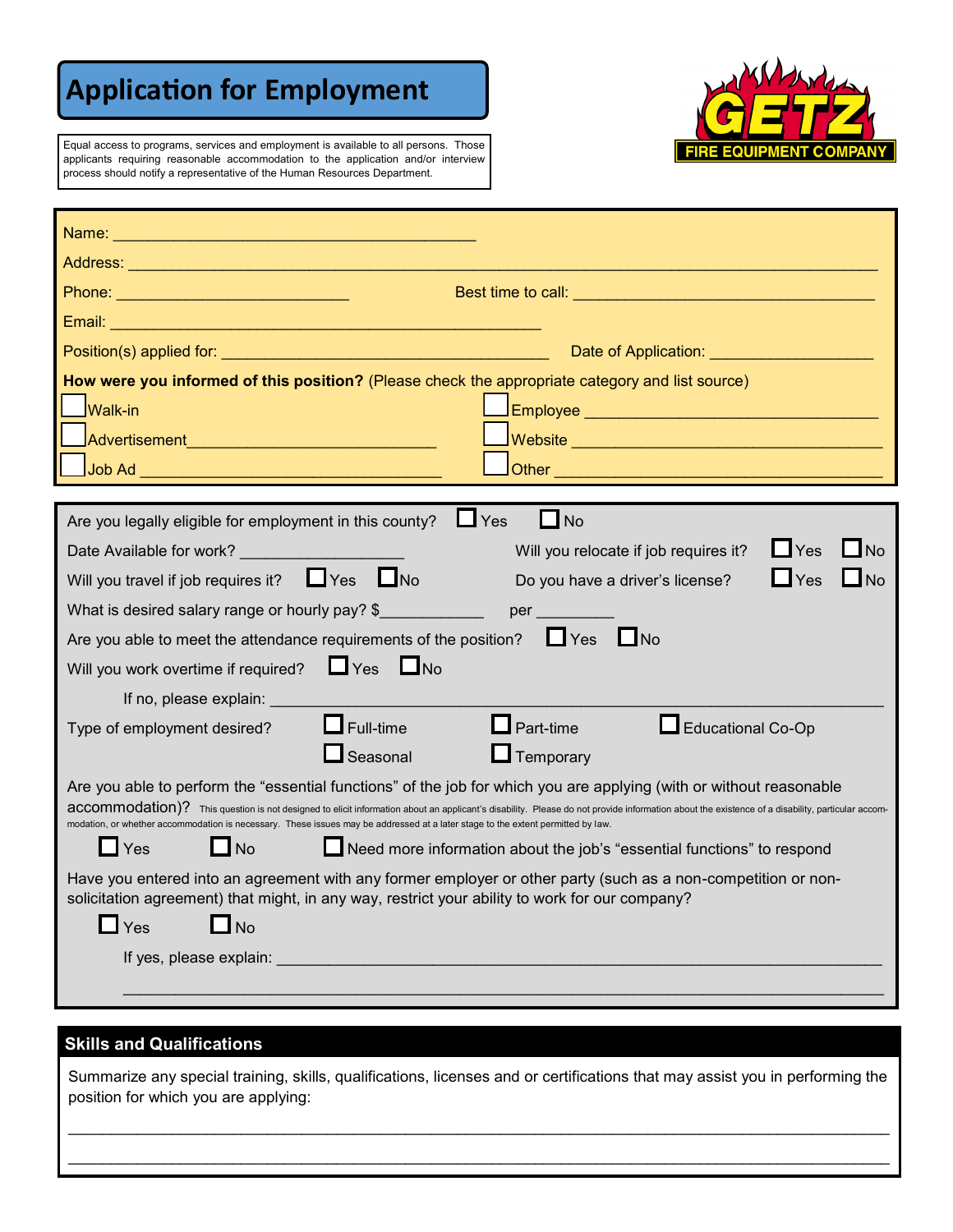# **Application for Employment**



Equal access to programs, services and employment is available to all persons. Those applicants requiring reasonable accommodation to the application and/or interview process should notify a representative of the Human Resources Department.

| Best time to call: <b>All and the Contract of the Contract of the Contract of the Contract of the Contract of the Contract of the Contract of the Contract of the Contract of the Contract of the Contract of the Contract of th</b>                                                                                             |
|----------------------------------------------------------------------------------------------------------------------------------------------------------------------------------------------------------------------------------------------------------------------------------------------------------------------------------|
|                                                                                                                                                                                                                                                                                                                                  |
| Date of Application: <b>Call Act Act Application:</b>                                                                                                                                                                                                                                                                            |
| How were you informed of this position? (Please check the appropriate category and list source)                                                                                                                                                                                                                                  |
| <b>Walk-in</b>                                                                                                                                                                                                                                                                                                                   |
| Website <b>All Contract Contract on the Contract Of Contract Contract Contract Contract Contract Of Contract Contract Contract Contract Contract Contract Contract Contract Contract Contract Contract Contract Contract Contrac</b>                                                                                             |
|                                                                                                                                                                                                                                                                                                                                  |
|                                                                                                                                                                                                                                                                                                                                  |
| $\Box$ No<br>$\Box$ Yes<br>Are you legally eligible for employment in this county?                                                                                                                                                                                                                                               |
| $\n  7$ No<br>$\Box$ Yes<br>Will you relocate if job requires it?                                                                                                                                                                                                                                                                |
| Will you travel if job requires it? $\Box$ Yes $\Box$ No<br>$\Box$ No<br>$\Box$ Yes<br>Do you have a driver's license?                                                                                                                                                                                                           |
| What is desired salary range or hourly pay? \$<br>per                                                                                                                                                                                                                                                                            |
| Are you able to meet the attendance requirements of the position? $\Box$ Yes $\Box$ No                                                                                                                                                                                                                                           |
| $\Box$ Yes $\Box$ No<br>Will you work overtime if required?                                                                                                                                                                                                                                                                      |
| If no, please explain: _________                                                                                                                                                                                                                                                                                                 |
| $\Box$ Part-time<br>$\Box$ Full-time<br>Educational Co-Op<br>Type of employment desired?                                                                                                                                                                                                                                         |
| $\Box$ Seasonal<br><b>L</b> Temporary                                                                                                                                                                                                                                                                                            |
| Are you able to perform the "essential functions" of the job for which you are applying (with or without reasonable                                                                                                                                                                                                              |
| accommodation)? This question is not designed to elicit information about an applicant's disability. Please do not provide information about the existence of a disability, particular accom-<br>modation, or whether accommodation is necessary. These issues may be addressed at a later stage to the extent permitted by law. |
| $\Box$ Yes<br>$\Box$ No<br>Need more information about the job's "essential functions" to respond                                                                                                                                                                                                                                |
| Have you entered into an agreement with any former employer or other party (such as a non-competition or non-                                                                                                                                                                                                                    |
| solicitation agreement) that might, in any way, restrict your ability to work for our company?                                                                                                                                                                                                                                   |
| $\Box$ Yes<br>$\Box$ No                                                                                                                                                                                                                                                                                                          |
| If yes, please explain:                                                                                                                                                                                                                                                                                                          |
|                                                                                                                                                                                                                                                                                                                                  |
|                                                                                                                                                                                                                                                                                                                                  |

## **Skills and Qualifications**

Summarize any special training, skills, qualifications, licenses and or certifications that may assist you in performing the position for which you are applying:

\_\_\_\_\_\_\_\_\_\_\_\_\_\_\_\_\_\_\_\_\_\_\_\_\_\_\_\_\_\_\_\_\_\_\_\_\_\_\_\_\_\_\_\_\_\_\_\_\_\_\_\_\_\_\_\_\_\_\_\_\_\_\_\_\_\_\_\_\_\_\_\_\_\_\_\_\_\_\_\_\_\_\_\_\_\_\_\_\_\_\_\_\_\_\_  $\mathcal{L}_\mathcal{L} = \mathcal{L}_\mathcal{L} = \mathcal{L}_\mathcal{L} = \mathcal{L}_\mathcal{L} = \mathcal{L}_\mathcal{L} = \mathcal{L}_\mathcal{L} = \mathcal{L}_\mathcal{L} = \mathcal{L}_\mathcal{L} = \mathcal{L}_\mathcal{L} = \mathcal{L}_\mathcal{L} = \mathcal{L}_\mathcal{L} = \mathcal{L}_\mathcal{L} = \mathcal{L}_\mathcal{L} = \mathcal{L}_\mathcal{L} = \mathcal{L}_\mathcal{L} = \mathcal{L}_\mathcal{L} = \mathcal{L}_\mathcal{L}$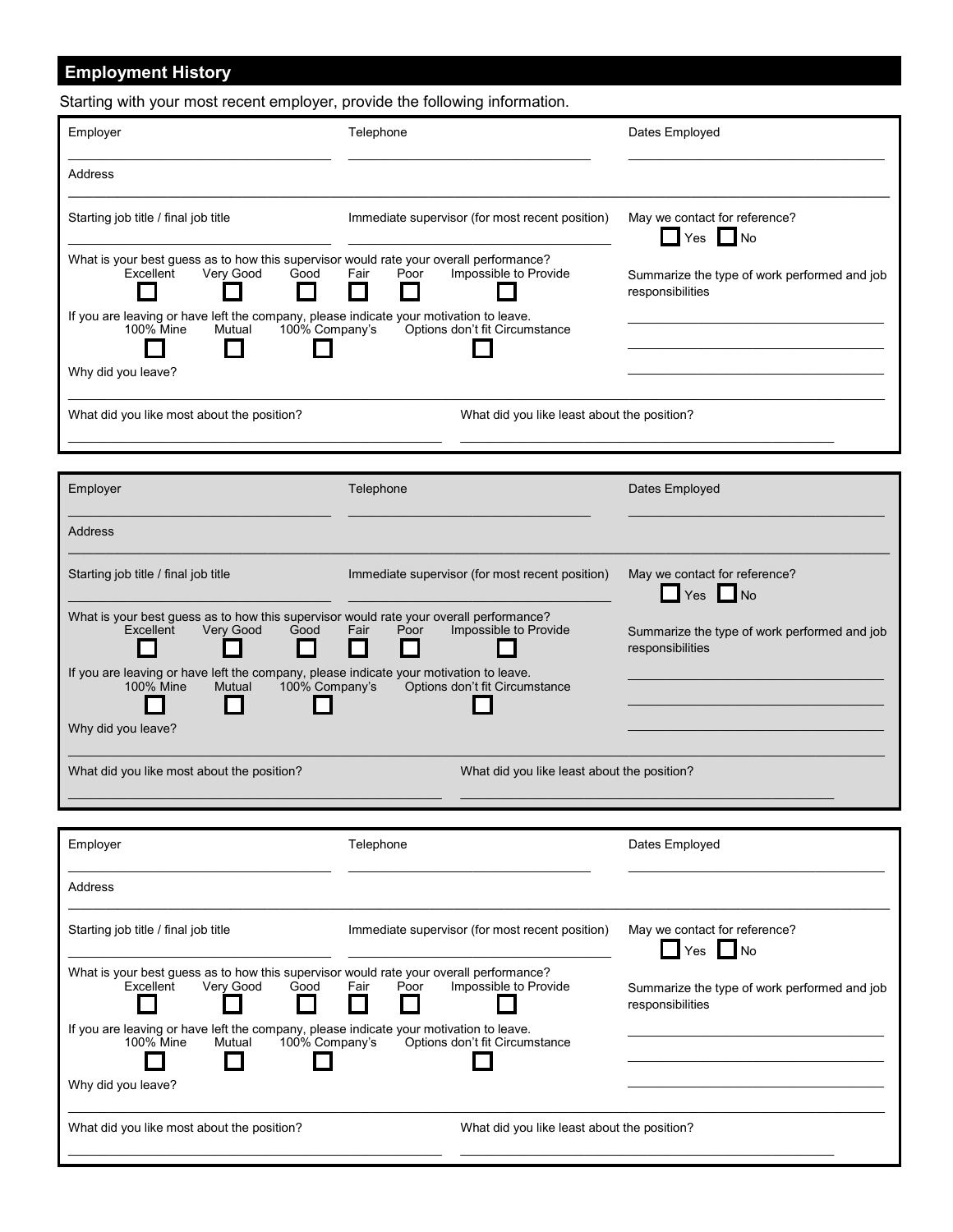## **Employment History**

Starting with your most recent employer, provide the following information.

| Employer                                                                                                                                                                                                                                                    | Telephone                                                               | Dates Employed                                                   |
|-------------------------------------------------------------------------------------------------------------------------------------------------------------------------------------------------------------------------------------------------------------|-------------------------------------------------------------------------|------------------------------------------------------------------|
| Address                                                                                                                                                                                                                                                     |                                                                         |                                                                  |
| Starting job title / final job title                                                                                                                                                                                                                        | Immediate supervisor (for most recent position)                         | May we contact for reference?<br>$\Box$ Yes $\Box$ No            |
| What is your best guess as to how this supervisor would rate your overall performance?<br>Excellent<br>Very Good<br>Good<br>If you are leaving or have left the company, please indicate your motivation to leave.<br>100% Mine<br>Mutual<br>100% Company's | Impossible to Provide<br>Fair<br>Poor<br>Options don't fit Circumstance | Summarize the type of work performed and job<br>responsibilities |
| Why did you leave?                                                                                                                                                                                                                                          |                                                                         |                                                                  |
| What did you like most about the position?                                                                                                                                                                                                                  | What did you like least about the position?                             |                                                                  |
|                                                                                                                                                                                                                                                             | $  -$                                                                   | ---------                                                        |

| Employer                                                                                                                               | Telephone                                       | Dates Employed                                                   |
|----------------------------------------------------------------------------------------------------------------------------------------|-------------------------------------------------|------------------------------------------------------------------|
| <b>Address</b>                                                                                                                         |                                                 |                                                                  |
| Starting job title / final job title                                                                                                   | Immediate supervisor (for most recent position) | May we contact for reference?<br>$\Box$ Yes $\Box$ No            |
| What is your best guess as to how this supervisor would rate your overall performance?<br>Excellent<br>Very Good<br>Good               | Impossible to Provide<br>Fair<br>Poor           | Summarize the type of work performed and job<br>responsibilities |
| If you are leaving or have left the company, please indicate your motivation to leave.<br><b>100% Mine</b><br>100% Company's<br>Mutual | Options don't fit Circumstance                  |                                                                  |
| Why did you leave?                                                                                                                     |                                                 |                                                                  |
| What did you like most about the position?                                                                                             | What did you like least about the position?     |                                                                  |

| Employer                                                                                                                        | Telephone                                       | Dates Employed                                                   |
|---------------------------------------------------------------------------------------------------------------------------------|-------------------------------------------------|------------------------------------------------------------------|
| <b>Address</b>                                                                                                                  |                                                 |                                                                  |
| Starting job title / final job title                                                                                            | Immediate supervisor (for most recent position) | May we contact for reference?<br>$\Box$ Yes $\Box$ No            |
| What is your best guess as to how this supervisor would rate your overall performance?<br>Excellent<br>Verv Good<br>Good        | Fair<br>Impossible to Provide<br>Poor           | Summarize the type of work performed and job<br>responsibilities |
| If you are leaving or have left the company, please indicate your motivation to leave.<br>100% Mine<br>Mutual<br>100% Company's | Options don't fit Circumstance                  |                                                                  |
| Why did you leave?                                                                                                              |                                                 |                                                                  |
| What did you like most about the position?                                                                                      | What did you like least about the position?     |                                                                  |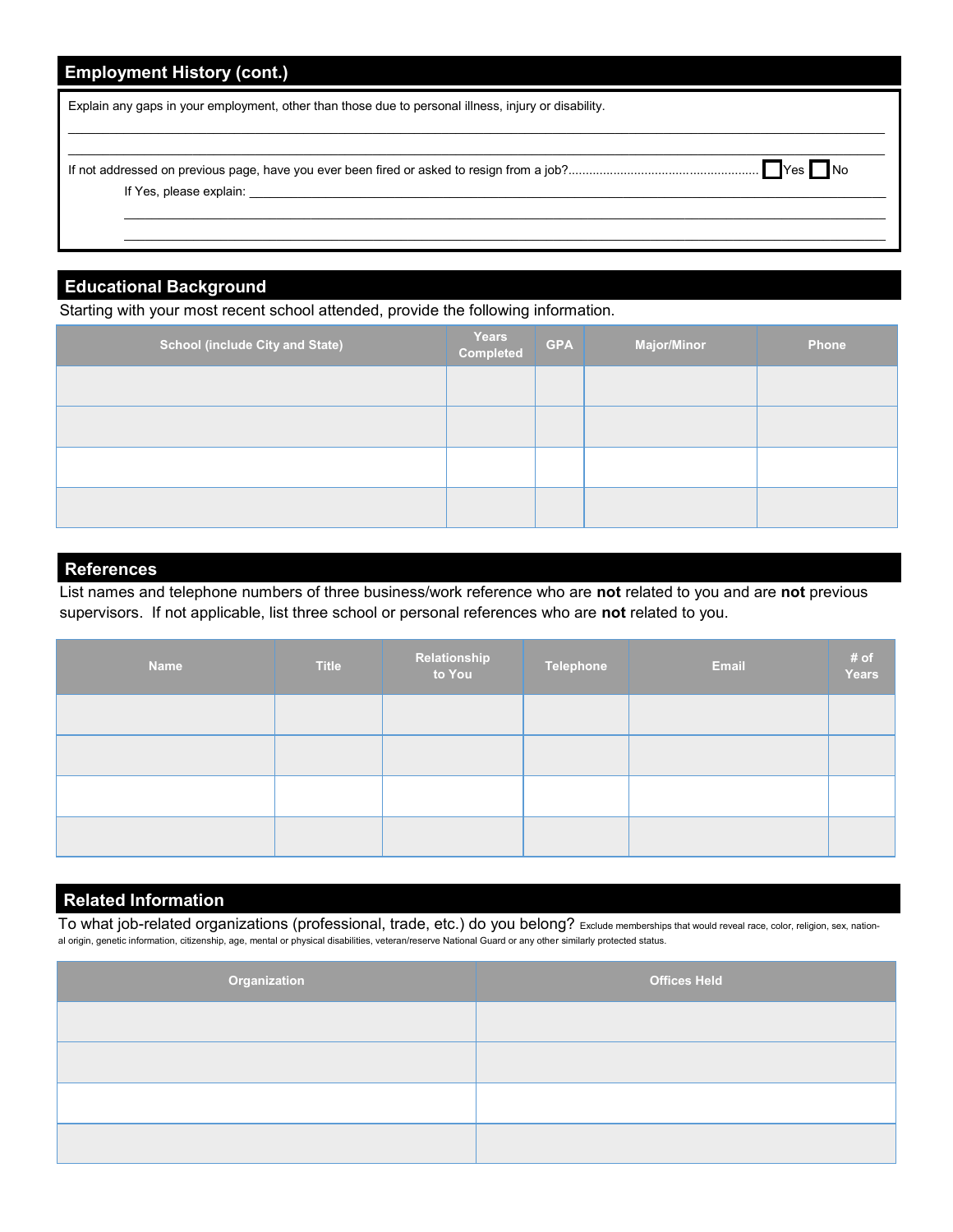| <b>Employment History (cont.)</b>                                                                                                                                                                                              |
|--------------------------------------------------------------------------------------------------------------------------------------------------------------------------------------------------------------------------------|
| Explain any gaps in your employment, other than those due to personal illness, injury or disability.                                                                                                                           |
| If Yes, please explain: The contract of the contract of the contract of the contract of the contract of the contract of the contract of the contract of the contract of the contract of the contract of the contract of the co |

## **Educational Background**

Starting with your most recent school attended, provide the following information.

| <b>School (include City and State)</b> | Years<br>Completed | <b>GPA</b> | <b>Major/Minor</b> | Phone |
|----------------------------------------|--------------------|------------|--------------------|-------|
|                                        |                    |            |                    |       |
|                                        |                    |            |                    |       |
|                                        |                    |            |                    |       |
|                                        |                    |            |                    |       |

#### **References**

List names and telephone numbers of three business/work reference who are **not** related to you and are **not** previous supervisors. If not applicable, list three school or personal references who are **not** related to you.

| <b>Name</b> | <b>Title</b> | Relationship<br>to You | Telephone | <b>Email</b> | # of<br>Years |
|-------------|--------------|------------------------|-----------|--------------|---------------|
|             |              |                        |           |              |               |
|             |              |                        |           |              |               |
|             |              |                        |           |              |               |
|             |              |                        |           |              |               |

## **Related Information**

To what job-related organizations (professional, trade, etc.) do you belong? Exclude memberships that would reveal race, color, religion, sex, national origin, genetic information, citizenship, age, mental or physical disabilities, veteran/reserve National Guard or any other similarly protected status.

| Organization | <b>Offices Held</b> |
|--------------|---------------------|
|              |                     |
|              |                     |
|              |                     |
|              |                     |